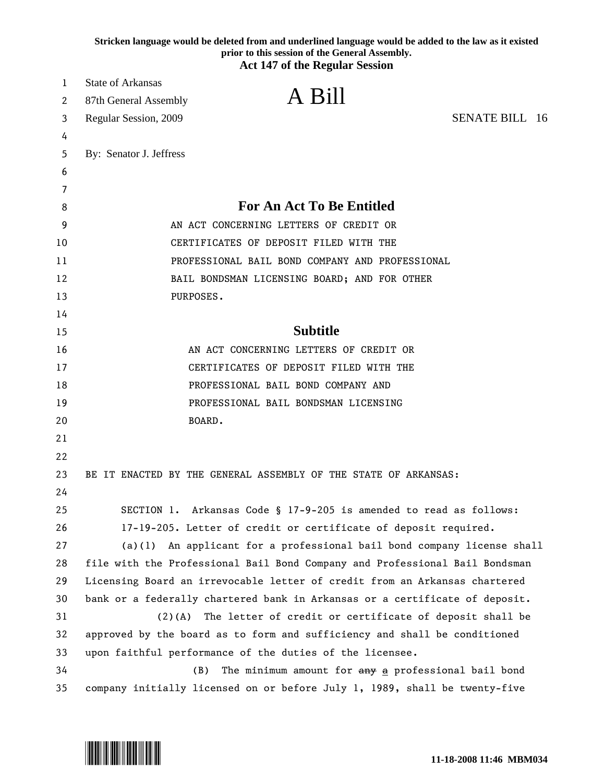|    | Stricken language would be deleted from and underlined language would be added to the law as it existed<br>prior to this session of the General Assembly.<br><b>Act 147 of the Regular Session</b> |
|----|----------------------------------------------------------------------------------------------------------------------------------------------------------------------------------------------------|
| 1  | <b>State of Arkansas</b>                                                                                                                                                                           |
| 2  | A Bill<br>87th General Assembly                                                                                                                                                                    |
| 3  | <b>SENATE BILL 16</b><br>Regular Session, 2009                                                                                                                                                     |
| 4  |                                                                                                                                                                                                    |
| 5  | By: Senator J. Jeffress                                                                                                                                                                            |
| 6  |                                                                                                                                                                                                    |
| 7  |                                                                                                                                                                                                    |
| 8  | <b>For An Act To Be Entitled</b>                                                                                                                                                                   |
| 9  | AN ACT CONCERNING LETTERS OF CREDIT OR                                                                                                                                                             |
| 10 | CERTIFICATES OF DEPOSIT FILED WITH THE                                                                                                                                                             |
| 11 | PROFESSIONAL BAIL BOND COMPANY AND PROFESSIONAL                                                                                                                                                    |
| 12 | BAIL BONDSMAN LICENSING BOARD; AND FOR OTHER                                                                                                                                                       |
| 13 | PURPOSES.                                                                                                                                                                                          |
| 14 |                                                                                                                                                                                                    |
| 15 | <b>Subtitle</b>                                                                                                                                                                                    |
| 16 | AN ACT CONCERNING LETTERS OF CREDIT OR                                                                                                                                                             |
| 17 | CERTIFICATES OF DEPOSIT FILED WITH THE                                                                                                                                                             |
| 18 | PROFESSIONAL BAIL BOND COMPANY AND                                                                                                                                                                 |
| 19 | PROFESSIONAL BAIL BONDSMAN LICENSING                                                                                                                                                               |
| 20 | BOARD.                                                                                                                                                                                             |
| 21 |                                                                                                                                                                                                    |
| 22 |                                                                                                                                                                                                    |
| 23 | BE IT ENACTED BY THE GENERAL ASSEMBLY OF THE STATE OF ARKANSAS:                                                                                                                                    |
| 24 |                                                                                                                                                                                                    |
| 25 | SECTION 1. Arkansas Code § 17-9-205 is amended to read as follows:                                                                                                                                 |
| 26 | 17-19-205. Letter of credit or certificate of deposit required.                                                                                                                                    |
| 27 | An applicant for a professional bail bond company license shall<br>(a)(1)                                                                                                                          |
| 28 | file with the Professional Bail Bond Company and Professional Bail Bondsman                                                                                                                        |
| 29 | Licensing Board an irrevocable letter of credit from an Arkansas chartered                                                                                                                         |
| 30 | bank or a federally chartered bank in Arkansas or a certificate of deposit.                                                                                                                        |
| 31 | $(2)$ (A)<br>The letter of credit or certificate of deposit shall be                                                                                                                               |
| 32 | approved by the board as to form and sufficiency and shall be conditioned                                                                                                                          |
| 33 | upon faithful performance of the duties of the licensee.                                                                                                                                           |
| 34 | (B)<br>The minimum amount for any a professional bail bond                                                                                                                                         |
| 35 | company initially licensed on or before July 1, 1989, shall be twenty-five                                                                                                                         |